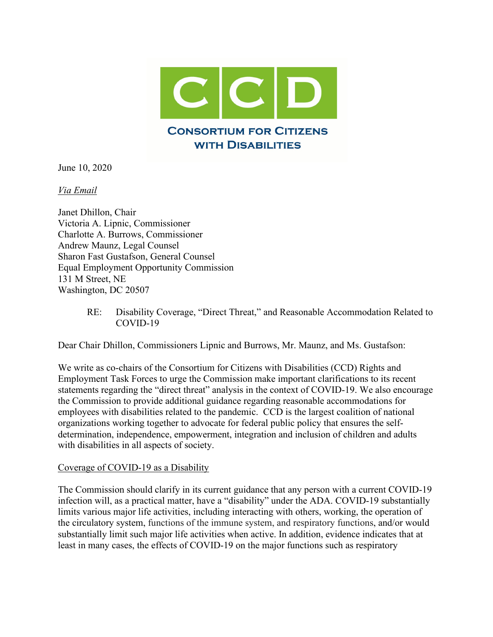

June 10, 2020

*Via Email*

Janet Dhillon, Chair Victoria A. Lipnic, Commissioner Charlotte A. Burrows, Commissioner Andrew Maunz, Legal Counsel Sharon Fast Gustafson, General Counsel Equal Employment Opportunity Commission 131 M Street, NE Washington, DC 20507

> RE: Disability Coverage, "Direct Threat," and Reasonable Accommodation Related to COVID-19

Dear Chair Dhillon, Commissioners Lipnic and Burrows, Mr. Maunz, and Ms. Gustafson:

We write as co-chairs of the Consortium for Citizens with Disabilities (CCD) Rights and Employment Task Forces to urge the Commission make important clarifications to its recent statements regarding the "direct threat" analysis in the context of COVID-19. We also encourage the Commission to provide additional guidance regarding reasonable accommodations for employees with disabilities related to the pandemic. CCD is the largest coalition of national organizations working together to advocate for federal public policy that ensures the selfdetermination, independence, empowerment, integration and inclusion of children and adults with disabilities in all aspects of society.

## Coverage of COVID-19 as a Disability

The Commission should clarify in its current guidance that any person with a current COVID-19 infection will, as a practical matter, have a "disability" under the ADA. COVID-19 substantially limits various major life activities, including interacting with others, working, the operation of the circulatory system, functions of the immune system, and respiratory functions, and/or would substantially limit such major life activities when active. In addition, evidence indicates that at least in many cases, the effects of COVID-19 on the major functions such as respiratory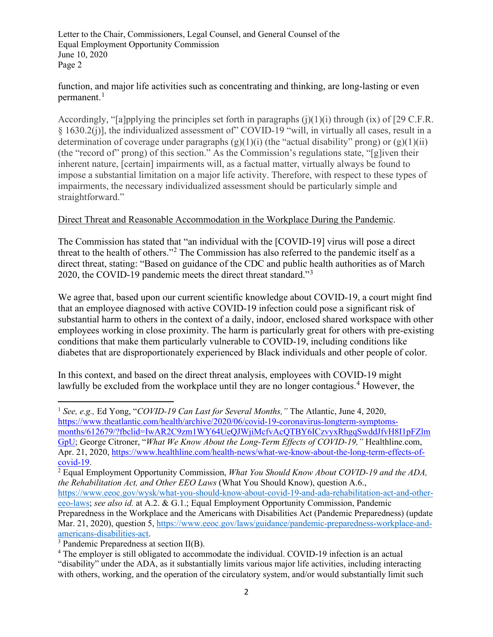function, and major life activities such as concentrating and thinking, are long-lasting or even permanent. $<sup>1</sup>$  $<sup>1</sup>$  $<sup>1</sup>$ </sup>

Accordingly, "[a]pplying the principles set forth in paragraphs  $(j)(1)(i)$  through  $(ix)$  of [29 C.F.R.] § 1630.2(j)], the individualized assessment of" COVID-19 "will, in virtually all cases, result in a determination of coverage under paragraphs  $(g)(1)(i)$  (the "actual disability" prong) or  $(g)(1)(ii)$ (the "record of" prong) of this section." As the Commission's regulations state, "[g]iven their inherent nature, [certain] impairments will, as a factual matter, virtually always be found to impose a substantial limitation on a major life activity. Therefore, with respect to these types of impairments, the necessary individualized assessment should be particularly simple and straightforward."

## Direct Threat and Reasonable Accommodation in the Workplace During the Pandemic.

The Commission has stated that "an individual with the [COVID-19] virus will pose a direct threat to the health of others."[2](#page-1-1) The Commission has also referred to the pandemic itself as a direct threat, stating: "Based on guidance of the CDC and public health authorities as of March 2020, the COVID-19 pandemic meets the direct threat standard."[3](#page-1-2)

We agree that, based upon our current scientific knowledge about COVID-19, a court might find that an employee diagnosed with active COVID-19 infection could pose a significant risk of substantial harm to others in the context of a daily, indoor, enclosed shared workspace with other employees working in close proximity. The harm is particularly great for others with pre-existing conditions that make them particularly vulnerable to COVID-19, including conditions like diabetes that are disproportionately experienced by Black individuals and other people of color.

In this context, and based on the direct threat analysis, employees with COVID-19 might lawfully be excluded from the workplace until they are no longer contagious.<sup>[4](#page-1-3)</sup> However, the

[months/612679/?fbclid=IwAR2C9zm1WY64UeQJWjiMcfvAcQTBY6ICzvyxRhgqSwddJfvH8I1pFZlm](https://www.theatlantic.com/health/archive/2020/06/covid-19-coronavirus-longterm-symptoms-months/612679/?fbclid=IwAR2C9zm1WY64UeQJWjiMcfvAcQTBY6ICzvyxRhgqSwddJfvH8I1pFZlmGpU) [GpU;](https://www.theatlantic.com/health/archive/2020/06/covid-19-coronavirus-longterm-symptoms-months/612679/?fbclid=IwAR2C9zm1WY64UeQJWjiMcfvAcQTBY6ICzvyxRhgqSwddJfvH8I1pFZlmGpU) George Citroner, "*What We Know About the Long-Term Effects of COVID-19,"* Healthline.com, Apr. 21, 2020, https://www.healthline.com/health-news/what-we-know-about-the-long-term-effects-of-covid-19.

[https://www.eeoc.gov/wysk/what-you-should-know-about-covid-19-and-ada-rehabilitation-act-and-other](https://www.eeoc.gov/wysk/what-you-should-know-about-covid-19-and-ada-rehabilitation-act-and-other-eeo-laws)[eeo-laws;](https://www.eeoc.gov/wysk/what-you-should-know-about-covid-19-and-ada-rehabilitation-act-and-other-eeo-laws) *see also id.* at A.2. & G.1.; Equal Employment Opportunity Commission, Pandemic

<span id="page-1-0"></span><sup>1</sup> *See, e.g.,* Ed Yong, "*COVID-19 Can Last for Several Months,"* The Atlantic, June 4, 2020, [https://www.theatlantic.com/health/archive/2020/06/covid-19-coronavirus-longterm-symptoms-](https://www.theatlantic.com/health/archive/2020/06/covid-19-coronavirus-longterm-symptoms-months/612679/?fbclid=IwAR2C9zm1WY64UeQJWjiMcfvAcQTBY6ICzvyxRhgqSwddJfvH8I1pFZlmGpU)

<span id="page-1-1"></span><sup>&</sup>lt;sup>2</sup> Equal Employment Opportunity Commission, *What You Should Know About COVID-19 and the ADA*, *the Rehabilitation Act, and Other EEO Laws* (What You Should Know), question A.6.,

Preparedness in the Workplace and the Americans with Disabilities Act (Pandemic Preparedness) (update Mar. 21, 2020), question 5, [https://www.eeoc.gov/laws/guidance/pandemic-preparedness-workplace-and](https://www.eeoc.gov/laws/guidance/pandemic-preparedness-workplace-and-americans-disabilities-act)[americans-disabilities-act.](https://www.eeoc.gov/laws/guidance/pandemic-preparedness-workplace-and-americans-disabilities-act)

<span id="page-1-2"></span><sup>3</sup> Pandemic Preparedness at section II(B).

<span id="page-1-3"></span><sup>&</sup>lt;sup>4</sup> The employer is still obligated to accommodate the individual. COVID-19 infection is an actual "disability" under the ADA, as it substantially limits various major life activities, including interacting with others, working, and the operation of the circulatory system, and/or would substantially limit such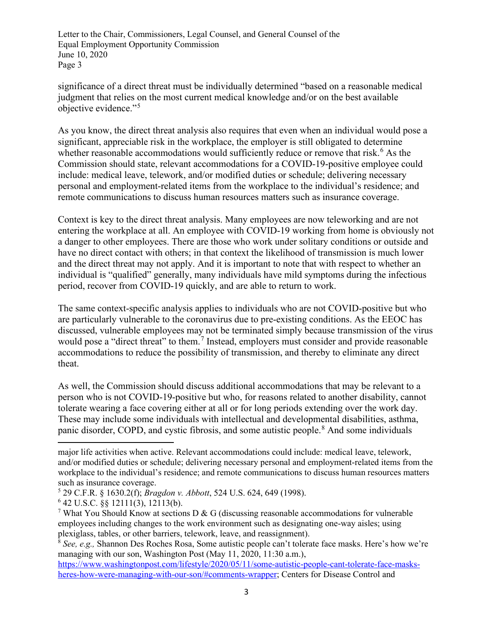significance of a direct threat must be individually determined "based on a reasonable medical judgment that relies on the most current medical knowledge and/or on the best available objective evidence."[5](#page-2-0)

As you know, the direct threat analysis also requires that even when an individual would pose a significant, appreciable risk in the workplace, the employer is still obligated to determine whether reasonable accommodations would sufficiently reduce or remove that risk.<sup>[6](#page-2-1)</sup> As the Commission should state, relevant accommodations for a COVID-19-positive employee could include: medical leave, telework, and/or modified duties or schedule; delivering necessary personal and employment-related items from the workplace to the individual's residence; and remote communications to discuss human resources matters such as insurance coverage.

Context is key to the direct threat analysis. Many employees are now teleworking and are not entering the workplace at all. An employee with COVID-19 working from home is obviously not a danger to other employees. There are those who work under solitary conditions or outside and have no direct contact with others; in that context the likelihood of transmission is much lower and the direct threat may not apply. And it is important to note that with respect to whether an individual is "qualified" generally, many individuals have mild symptoms during the infectious period, recover from COVID-19 quickly, and are able to return to work.

The same context-specific analysis applies to individuals who are not COVID-positive but who are particularly vulnerable to the coronavirus due to pre-existing conditions. As the EEOC has discussed, vulnerable employees may not be terminated simply because transmission of the virus would pose a "direct threat" to them.<sup>[7](#page-2-2)</sup> Instead, employers must consider and provide reasonable accommodations to reduce the possibility of transmission, and thereby to eliminate any direct theat.

As well, the Commission should discuss additional accommodations that may be relevant to a person who is not COVID-19-positive but who, for reasons related to another disability, cannot tolerate wearing a face covering either at all or for long periods extending over the work day. These may include some individuals with intellectual and developmental disabilities, asthma, panic disorder, COPD, and cystic fibrosis, and some autistic people.<sup>[8](#page-2-3)</sup> And some individuals

major life activities when active. Relevant accommodations could include: medical leave, telework, and/or modified duties or schedule; delivering necessary personal and employment-related items from the workplace to the individual's residence; and remote communications to discuss human resources matters such as insurance coverage.

<span id="page-2-0"></span><sup>5</sup> 29 C.F.R. § 1630.2(f); *Bragdon v. Abbott*, 524 U.S. 624, 649 (1998).

<span id="page-2-1"></span><sup>6</sup> 42 U.S.C. §§ 12111(3), 12113(b).

<span id="page-2-2"></span><sup>&</sup>lt;sup>7</sup> What You Should Know at sections D & G (discussing reasonable accommodations for vulnerable employees including changes to the work environment such as designating one-way aisles; using plexiglass, tables, or other barriers, telework, leave, and reassignment).

<span id="page-2-3"></span><sup>8</sup> *See, e.g.,* Shannon Des Roches Rosa, Some autistic people can't tolerate face masks. Here's how we're managing with our son, Washington Post (May 11, 2020, 11:30 a.m.)[,](https://www.washingtonpost.com/lifestyle/2020/05/11/some-autistic-people-cant-tolerate-face-masks-heres-how-were-managing-with-our-son/#comments-wrapper)

[https://www.washingtonpost.com/lifestyle/2020/05/11/some-autistic-people-cant-tolerate-face-masks](https://www.washingtonpost.com/lifestyle/2020/05/11/some-autistic-people-cant-tolerate-face-masks-heres-how-were-managing-with-our-son/#comments-wrapper)[heres-how-were-managing-with-our-son/#comments-wrapper;](https://www.washingtonpost.com/lifestyle/2020/05/11/some-autistic-people-cant-tolerate-face-masks-heres-how-were-managing-with-our-son/#comments-wrapper) Centers for Disease Control and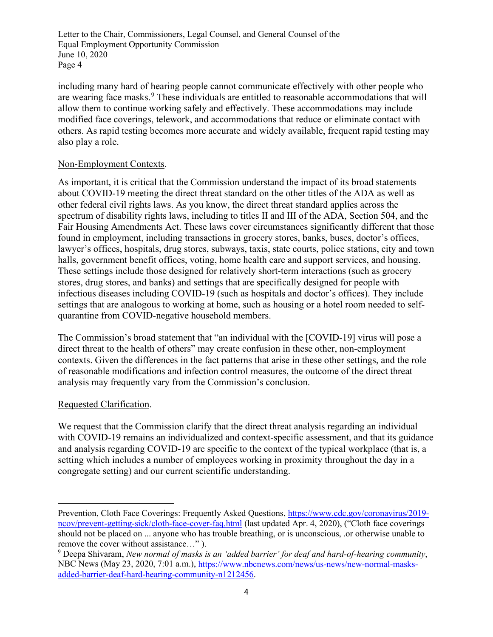including many hard of hearing people cannot communicate effectively with other people who are wearing face masks.<sup>[9](#page-3-0)</sup> These individuals are entitled to reasonable accommodations that will allow them to continue working safely and effectively. These accommodations may include modified face coverings, telework, and accommodations that reduce or eliminate contact with others. As rapid testing becomes more accurate and widely available, frequent rapid testing may also play a role.

## Non-Employment Contexts.

As important, it is critical that the Commission understand the impact of its broad statements about COVID-19 meeting the direct threat standard on the other titles of the ADA as well as other federal civil rights laws. As you know, the direct threat standard applies across the spectrum of disability rights laws, including to titles II and III of the ADA, Section 504, and the Fair Housing Amendments Act. These laws cover circumstances significantly different that those found in employment, including transactions in grocery stores, banks, buses, doctor's offices, lawyer's offices, hospitals, drug stores, subways, taxis, state courts, police stations, city and town halls, government benefit offices, voting, home health care and support services, and housing. These settings include those designed for relatively short-term interactions (such as grocery stores, drug stores, and banks) and settings that are specifically designed for people with infectious diseases including COVID-19 (such as hospitals and doctor's offices). They include settings that are analogous to working at home, such as housing or a hotel room needed to selfquarantine from COVID-negative household members.

The Commission's broad statement that "an individual with the [COVID-19] virus will pose a direct threat to the health of others" may create confusion in these other, non-employment contexts. Given the differences in the fact patterns that arise in these other settings, and the role of reasonable modifications and infection control measures, the outcome of the direct threat analysis may frequently vary from the Commission's conclusion.

## Requested Clarification.

We request that the Commission clarify that the direct threat analysis regarding an individual with COVID-19 remains an individualized and context-specific assessment, and that its guidance and analysis regarding COVID-19 are specific to the context of the typical workplace (that is, a setting which includes a number of employees working in proximity throughout the day in a congregate setting) and our current scientific understanding.

Prevention, Cloth Face Coverings: Frequently Asked Questions, [https://www.cdc.gov/coronavirus/2019](https://www.cdc.gov/coronavirus/2019-ncov/prevent-getting-sick/cloth-face-cover-faq.html) [ncov/prevent-getting-sick/cloth-face-cover-faq.html](https://www.cdc.gov/coronavirus/2019-ncov/prevent-getting-sick/cloth-face-cover-faq.html) (last updated Apr. 4, 2020), ("Cloth face coverings should not be placed on ... anyone who has trouble breathing, or is unconscious, .or otherwise unable to remove the cover without assistance...").

<span id="page-3-0"></span><sup>&</sup>lt;sup>9</sup> Deepa Shivaram, *New normal of masks is an 'added barrier' for deaf and hard-of-hearing community,* NBC News (May 23, 2020, 7:01 a.m.), [https://www.nbcnews.com/news/us-news/new-normal-masks](https://www.nbcnews.com/news/us-news/new-normal-masks-added-barrier-deaf-hard-hearing-community-n1212456)[added-barrier-deaf-hard-hearing-community-n1212456.](https://www.nbcnews.com/news/us-news/new-normal-masks-added-barrier-deaf-hard-hearing-community-n1212456)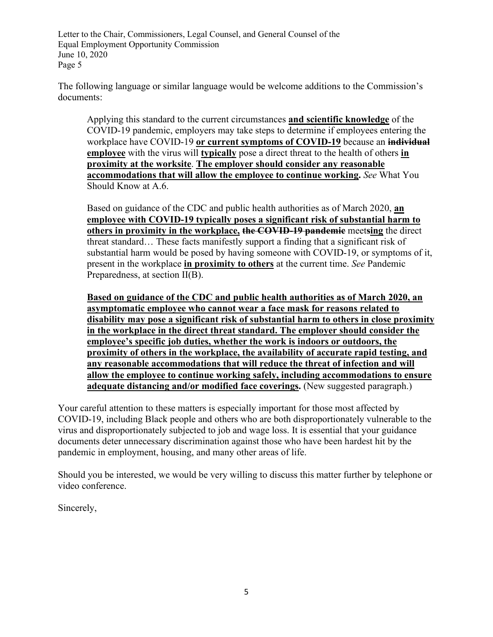The following language or similar language would be welcome additions to the Commission's documents:

Applying this standard to the current circumstances **and scientific knowledge** of the COVID-19 pandemic, employers may take steps to determine if employees entering the workplace have COVID-19 **or current symptoms of COVID-19** because an **individual employee** with the virus will **typically** pose a direct threat to the health of others **in proximity at the worksite**. **The employer should consider any reasonable accommodations that will allow the employee to continue working.** *See* What You Should Know at A.6.

Based on guidance of the CDC and public health authorities as of March 2020, **an employee with COVID-19 typically poses a significant risk of substantial harm to others in proximity in the workplace, the COVID-19 pandemic** meet**sing** the direct threat standard… These facts manifestly support a finding that a significant risk of substantial harm would be posed by having someone with COVID-19, or symptoms of it, present in the workplace **in proximity to others** at the current time. *See* Pandemic Preparedness, at section II(B).

**Based on guidance of the CDC and public health authorities as of March 2020, an asymptomatic employee who cannot wear a face mask for reasons related to disability may pose a significant risk of substantial harm to others in close proximity in the workplace in the direct threat standard. The employer should consider the employee's specific job duties, whether the work is indoors or outdoors, the proximity of others in the workplace, the availability of accurate rapid testing, and any reasonable accommodations that will reduce the threat of infection and will allow the employee to continue working safely, including accommodations to ensure adequate distancing and/or modified face coverings.** (New suggested paragraph.)

Your careful attention to these matters is especially important for those most affected by COVID-19, including Black people and others who are both disproportionately vulnerable to the virus and disproportionately subjected to job and wage loss. It is essential that your guidance documents deter unnecessary discrimination against those who have been hardest hit by the pandemic in employment, housing, and many other areas of life.

Should you be interested, we would be very willing to discuss this matter further by telephone or video conference.

Sincerely,